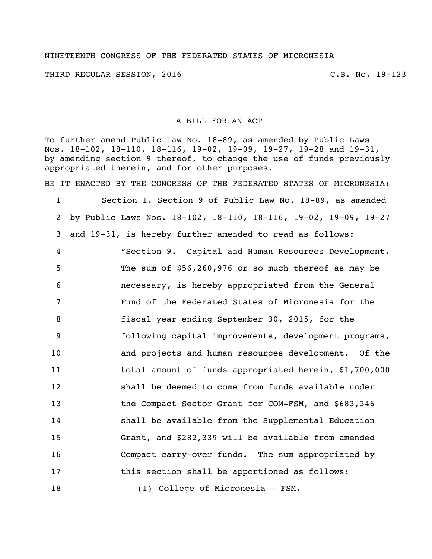## NINETEENTH CONGRESS OF THE FEDERATED STATES OF MICRONESIA

THIRD REGULAR SESSION, 2016 C.B. No. 19-123

A BILL FOR AN ACT

To further amend Public Law No. 18-89, as amended by Public Laws Nos. 18-102, 18-110, 18-116, 19-02, 19-09, 19-27, 19-28 and 19-31, by amending section 9 thereof, to change the use of funds previously appropriated therein, and for other purposes.

BE IT ENACTED BY THE CONGRESS OF THE FEDERATED STATES OF MICRONESIA:

 Section 1. Section 9 of Public Law No. 18-89, as amended by Public Laws Nos. 18-102, 18-110, 18-116, 19-02, 19-09, 19-27 and 19-31, is hereby further amended to read as follows: "Section 9. Capital and Human Resources Development. The sum of \$56,260,976 or so much thereof as may be necessary, is hereby appropriated from the General Fund of the Federated States of Micronesia for the fiscal year ending September 30, 2015, for the following capital improvements, development programs, and projects and human resources development. Of the total amount of funds appropriated herein, \$1,700,000 shall be deemed to come from funds available under the Compact Sector Grant for COM-FSM, and \$683,346 shall be available from the Supplemental Education Grant, and \$282,339 will be available from amended Compact carry-over funds. The sum appropriated by **this section shall be apportioned as follows:** (1) College of Micronesia – FSM.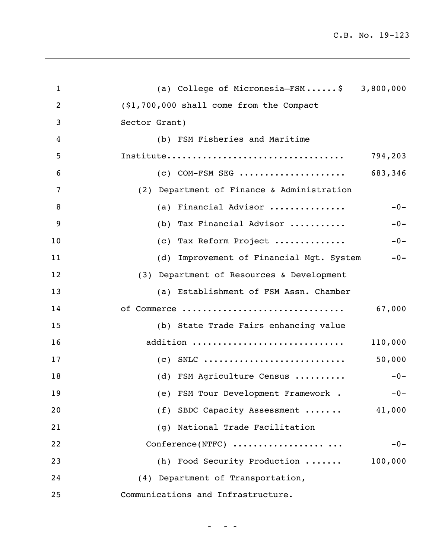C.B. No. 19-123

| $\mathbf{1}$   | (a) College of Micronesia-FSM\$ 3,800,000         |
|----------------|---------------------------------------------------|
| $\overline{2}$ | (\$1,700,000 shall come from the Compact          |
| 3              | Sector Grant)                                     |
| 4              | (b) FSM Fisheries and Maritime                    |
| 5              | 794,203                                           |
| 6              | $(c)$ COM-FSM SEG<br>683,346                      |
| 7              | (2) Department of Finance & Administration        |
| 8              | (a) Financial Advisor<br>$-0-$                    |
| 9              | (b) Tax Financial Advisor<br>$-0-$                |
| 10             | (c) Tax Reform Project<br>$-0-$                   |
| 11             | $-0-$<br>(d) Improvement of Financial Mgt. System |
| 12             | (3) Department of Resources & Development         |
| 13             | (a) Establishment of FSM Assn. Chamber            |
| 14             | 67,000<br>of Commerce                             |
| 15             | (b) State Trade Fairs enhancing value             |
| 16             | addition<br>110,000                               |
| 17             | 50,000                                            |
| 18             | (d) FSM Agriculture Census<br>$-0-$               |
| 19             | (e) FSM Tour Development Framework .<br>$-0-$     |
| 20             | (f) SBDC Capacity Assessment<br>41,000            |
| 21             | (g) National Trade Facilitation                   |
| 22             | Conference(NTFC)<br>$-0-$                         |
| 23             | 100,000<br>(h) Food Security Production           |
| 24             | (4) Department of Transportation,                 |
| 25             | Communications and Infrastructure.                |

 $\sim$   $\sim$   $\sim$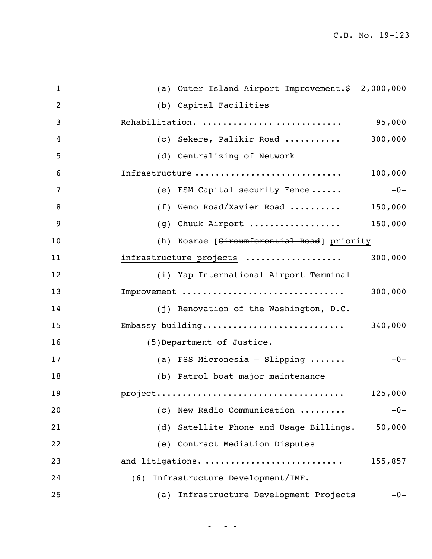| $\mathbf{1}$   | (a) Outer Island Airport Improvement.\$ 2,000,000      |
|----------------|--------------------------------------------------------|
| $\overline{2}$ | (b) Capital Facilities                                 |
| 3              | Rehabilitation.<br>95,000                              |
| 4              | 300,000<br>(c) Sekere, Palikir Road                    |
| 5              | (d) Centralizing of Network                            |
| 6              | Infrastructure<br>100,000                              |
| 7              | $-0-$<br>(e) FSM Capital security Fence                |
| 8              | (f) Weno Road/Xavier Road<br>150,000                   |
| 9              | 150,000<br>(g) Chuuk Airport                           |
| 10             | (h) Kosrae [Circumferential Road] priority             |
| 11             | 300,000<br>infrastructure projects                     |
| 12             | (i) Yap International Airport Terminal                 |
| 13             | Improvement<br>300,000                                 |
| 14             | (j) Renovation of the Washington, D.C.                 |
| 15             |                                                        |
| 16             | (5) Department of Justice.                             |
| 17             | (a) FSS Micronesia - Slipping $\ldots \ldots$<br>$-0-$ |
| 18             | (b) Patrol boat major maintenance                      |
| 19             | 125,000                                                |
| 20             | (c) New Radio Communication<br>$-0-$                   |
| 21             | (d) Satellite Phone and Usage Billings.<br>50,000      |
| 22             | (e) Contract Mediation Disputes                        |
| 23             | and litigations.<br>155,857                            |
| 24             | Infrastructure Development/IMF.<br>(6)                 |
| 25             | Infrastructure Development Projects<br>(a)<br>$-0-$    |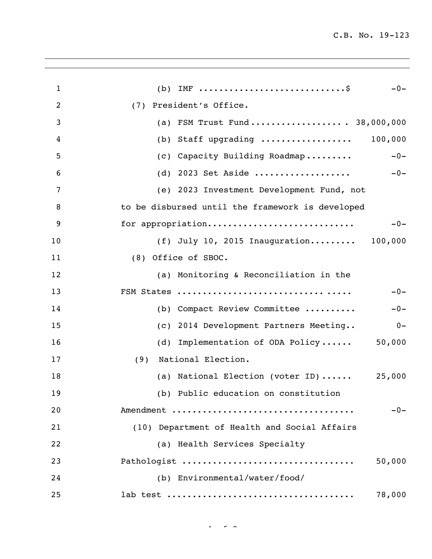| $\mathbf{1}$   | (b) IMF $\dots\dots\dots\dots\dots\dots\dots\dots\dots\dots\dots\dots$<br>$-0-$ |
|----------------|---------------------------------------------------------------------------------|
| $\overline{2}$ | President's Office.<br>(7)                                                      |
| 3              | FSM Trust Fund 38,000,000<br>(a)                                                |
| 4              | Staff upgrading  100,000<br>(b)                                                 |
| 5              | (c) Capacity Building Roadmap<br>$-0-$                                          |
| 6              | (d) 2023 Set Aside<br>$-0-$                                                     |
| 7              | (e) 2023 Investment Development Fund, not                                       |
| 8              | to be disbursed until the framework is developed                                |
| 9              | for appropriation<br>$-0-$                                                      |
| 10             | (f) July 10, 2015 Inauguration 100,000                                          |
| 11             | (8) Office of SBOC.                                                             |
| 12             | (a) Monitoring & Reconciliation in the                                          |
| 13             | $-0-$                                                                           |
| 14             | (b) Compact Review Committee<br>$-0-$                                           |
| 15             | (c) 2014 Development Partners Meeting<br>$0 -$                                  |
| 16             | Implementation of ODA Policy<br>50,000<br>(d)                                   |
| 17             | National Election.<br>(9)                                                       |
| 18             | (a) National Election (voter ID)<br>25,000                                      |
| 19             | (b) Public education on constitution                                            |
| 20             | $-0-$<br>Amendment                                                              |
| 21             | (10) Department of Health and Social Affairs                                    |
| 22             | (a) Health Services Specialty                                                   |
| 23             | Pathologist<br>50,000                                                           |
| 24             | (b) Environmental/water/food/                                                   |
| 25             | 78,000                                                                          |
|                |                                                                                 |

 $4.4 \times 8.4$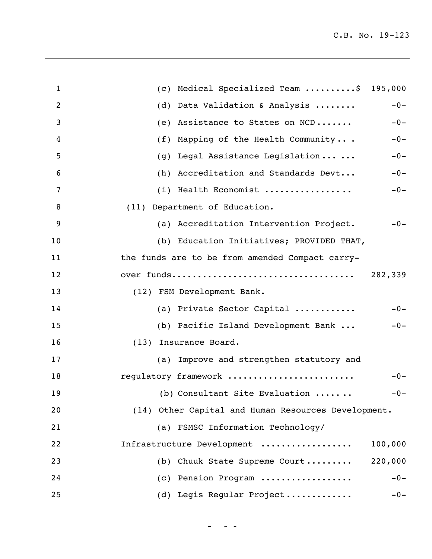| $\mathbf{1}$ | Medical Specialized Team \$ 195,000<br>$\left( c\right)$ |         |
|--------------|----------------------------------------------------------|---------|
| 2            | Data Validation & Analysis<br>(d)                        | $-0-$   |
| 3            | Assistance to States on NCD<br>(e)                       | $-0-$   |
| 4            | Mapping of the Health Community<br>(f)                   | $-0-$   |
| 5            | Legal Assistance Legislation<br>(g)                      | $-0-$   |
| 6            | (h) Accreditation and Standards Devt                     | $-0-$   |
| 7            | (i) Health Economist                                     | $-0-$   |
| 8            | (11) Department of Education.                            |         |
| 9            | (a) Accreditation Intervention Project.                  | $-0-$   |
| 10           | (b) Education Initiatives; PROVIDED THAT,                |         |
| 11           | the funds are to be from amended Compact carry-          |         |
| 12           |                                                          | 282,339 |
| 13           | (12) FSM Development Bank.                               |         |
| 14           | (a) Private Sector Capital                               | $-0-$   |
| 15           | (b) Pacific Island Development Bank                      | $-0-$   |
| 16           | (13) Insurance Board.                                    |         |
| 17           | (a) Improve and strengthen statutory and                 |         |
| 18           | regulatory framework                                     | $-0-$   |
| 19           | (b) Consultant Site Evaluation                           | $-0-$   |
| 20           | (14) Other Capital and Human Resources Development.      |         |
| 21           | (a) FSMSC Information Technology/                        |         |
| 22           | Infrastructure Development                               | 100,000 |
| 23           | Chuuk State Supreme Court<br>(b)                         | 220,000 |
| 24           | (c) Pension Program                                      | $-0-$   |
| 25           | (d) Legis Regular Project                                | $-0-$   |

 $\frac{1}{\sqrt{2}}$  of  $\frac{1}{\sqrt{2}}$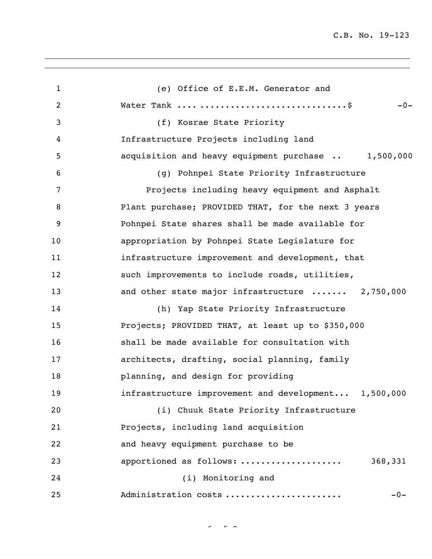C.B. No. 19-123

| $\mathbf{1}$   | (e) Office of E.E.M. Generator and                      |
|----------------|---------------------------------------------------------|
| $\overline{c}$ | $-0-$                                                   |
| 3              | (f) Kosrae State Priority                               |
| 4              | Infrastructure Projects including land                  |
| 5              | acquisition and heavy equipment purchase  1,500,000     |
| 6              | (g) Pohnpei State Priority Infrastructure               |
| 7              | Projects including heavy equipment and Asphalt          |
| 8              | Plant purchase; PROVIDED THAT, for the next 3 years     |
| 9              | Pohnpei State shares shall be made available for        |
| 10             | appropriation by Pohnpei State Legislature for          |
| 11             | infrastructure improvement and development, that        |
| 12             | such improvements to include roads, utilities,          |
| 13             | and other state major infrastructure  2,750,000         |
| 14             | (h) Yap State Priority Infrastructure                   |
| 15             | Projects; PROVIDED THAT, at least up to \$350,000       |
| 16             | shall be made available for consultation with           |
| 17             | architects, drafting, social planning, family           |
| 18             | planning, and design for providing                      |
| 19             | infrastructure improvement and development<br>1,500,000 |
| 20             | (i) Chuuk State Priority Infrastructure                 |
| 21             | Projects, including land acquisition                    |
| 22             | and heavy equipment purchase to be                      |
| 23             | apportioned as follows:<br>368,331                      |
| 24             | (i) Monitoring and                                      |
| 25             | Administration costs<br>$-0-$                           |

 $\sigma$   $\sim$   $\sigma$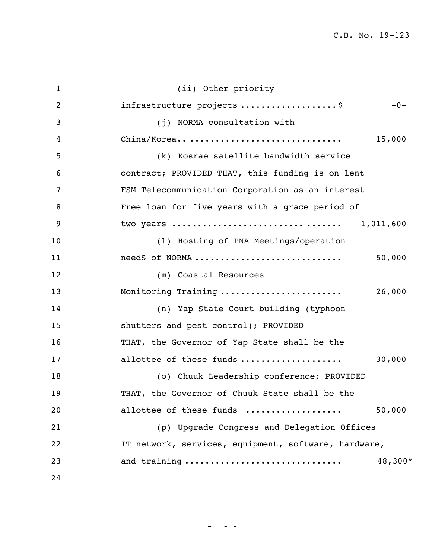| 1  | (ii) Other priority                                  |           |
|----|------------------------------------------------------|-----------|
| 2  | infrastructure projects \$                           | $-0-$     |
| 3  | (j) NORMA consultation with                          |           |
| 4  | China/Korea                                          | 15,000    |
| 5  | (k) Kosrae satellite bandwidth service               |           |
| 6  | contract; PROVIDED THAT, this funding is on lent     |           |
| 7  | FSM Telecommunication Corporation as an interest     |           |
| 8  | Free loan for five years with a grace period of      |           |
| 9  | two years                                            | 1,011,600 |
| 10 | (1) Hosting of PNA Meetings/operation                |           |
| 11 | needS of NORMA                                       | 50,000    |
| 12 | (m) Coastal Resources                                |           |
| 13 | Monitoring Training                                  | 26,000    |
| 14 | (n) Yap State Court building (typhoon                |           |
| 15 | shutters and pest control); PROVIDED                 |           |
| 16 | THAT, the Governor of Yap State shall be the         |           |
| 17 | allottee of these funds                              | 30,000    |
| 18 | (o) Chuuk Leadership conference; PROVIDED            |           |
| 19 | THAT, the Governor of Chuuk State shall be the       |           |
| 20 | allottee of these funds                              | 50,000    |
| 21 | (p) Upgrade Congress and Delegation Offices          |           |
| 22 | IT network, services, equipment, software, hardware, |           |
| 23 | and training                                         | 48,300"   |
| 24 |                                                      |           |